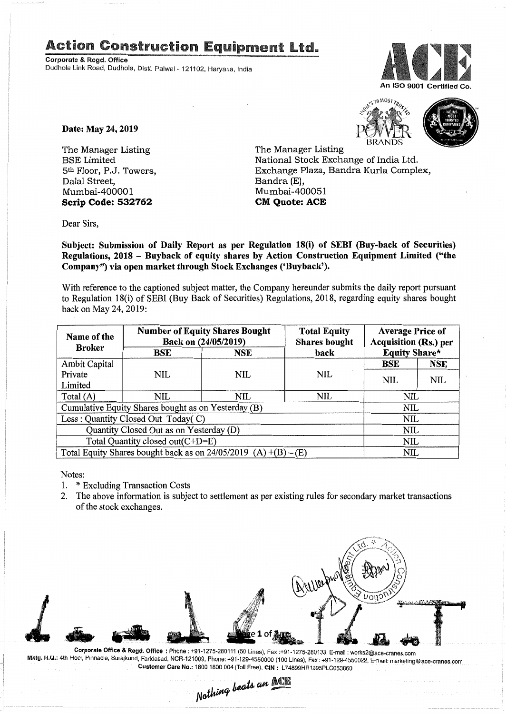## **Action Construction Equipment Ltd.**

Corporate & Regd. Office Dudhola Link Road, Dudhola, Distt. Palwal- 121102, Haryana, India



Date: May 24, 2019

The Manager Listing BSE Limited 5th Floor, P.J. Towers, Dalal Street, Mumbai-400001 Scrip Code: 532762





The Manager Listing National Stock Exchange of India Ltd. Exchange Plaza, Bandra Kurla Complex, Bandra (E), Mumbai-400051 CM Quote: ACE

Dear Sirs,

Subject: Submission of Daily Report as per Regulation 18(i) of SEBI (Buy-back of Securities) Regulations, 2018 - Buyback of equity shares by Action Construction Equipment Limited ("the Company") via open market through Stock Exchanges ('Buyback').

With reference to the captioned subject matter, the Company hereunder submits the daily report pursuant to Regulation 18(i) of SEBI (Buy Back of Securities) Regulations, 2018, regarding equity shares bought back on May 24, 2019:

| Name of the<br><b>Broker</b>                                      | <b>Number of Equity Shares Bought</b><br>Back on (24/05/2019) |     | <b>Total Equity</b><br><b>Shares bought</b> | <b>Average Price of</b><br><b>Acquisition (Rs.) per</b> |            |  |
|-------------------------------------------------------------------|---------------------------------------------------------------|-----|---------------------------------------------|---------------------------------------------------------|------------|--|
|                                                                   | BSE                                                           | NSE | back                                        | <b>Equity Share*</b>                                    |            |  |
| Ambit Capital                                                     |                                                               |     |                                             | <b>BSE</b>                                              | NSE        |  |
| Private                                                           | <b>NIL</b>                                                    | NIL | <b>NIL</b>                                  | <b>NIL</b>                                              | <b>NIL</b> |  |
| Limited                                                           |                                                               |     |                                             |                                                         |            |  |
| Total $(A)$                                                       | NIL                                                           | NIL | NIL                                         | NIL                                                     |            |  |
| Cumulative Equity Shares bought as on Yesterday (B)               |                                                               |     |                                             |                                                         | NIL        |  |
| Less: Quantity Closed Out Today(C)                                |                                                               |     |                                             | NIL                                                     |            |  |
| Quantity Closed Out as on Yesterday (D)                           |                                                               |     |                                             | NIL                                                     |            |  |
| Total Quantity closed out(C+D=E)                                  |                                                               |     |                                             |                                                         | NIL        |  |
| Total Equity Shares bought back as on $24/05/2019$ (A) +(B) – (E) |                                                               |     |                                             |                                                         | NIL        |  |

Notes:

1. \* Excluding Transaction Costs

2. The above information is subject to settlement as per existing rules for secondary market transactions of the stock exchanges.



Corporate Office & Regd. Office: Phone: +91-1275-280111(50Lines), Fax:+91-1275-280133, E-mail: works2@ace-cranes.com Mktg. II.Q.: 4th Hoor, Pinnacle, Surajkund, Faridabad, NCR-121009, Phone: +91-129-4550000 (100 Lines), Fax: +91-129-4550022, E-mail: marketing@ace-cranes.com